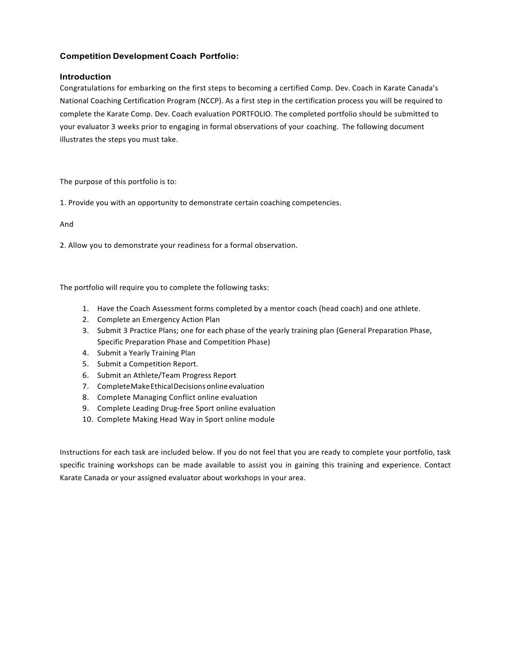### **Competition Development Coach Portfolio:**

### **Introduction**

Congratulations for embarking on the first steps to becoming a certified Comp. Dev. Coach in Karate Canada's National Coaching Certification Program (NCCP). As a first step in the certification process you will be required to complete the Karate Comp. Dev. Coach evaluation PORTFOLIO. The completed portfolio should be submitted to your evaluator 3 weeks prior to engaging in formal observations of your coaching. The following document illustrates the steps you must take.

The purpose of this portfolio is to:

1. Provide you with an opportunity to demonstrate certain coaching competencies.

And 

2. Allow you to demonstrate your readiness for a formal observation.

The portfolio will require you to complete the following tasks:

- 1. Have the Coach Assessment forms completed by a mentor coach (head coach) and one athlete.
- 2. Complete an Emergency Action Plan
- 3. Submit 3 Practice Plans; one for each phase of the yearly training plan (General Preparation Phase, Specific Preparation Phase and Competition Phase)
- 4. Submit a Yearly Training Plan
- 5. Submit a Competition Report.
- 6. Submit an Athlete/Team Progress Report
- 7. Complete Make Ethical Decisions online evaluation
- 8. Complete Managing Conflict online evaluation
- 9. Complete Leading Drug-free Sport online evaluation
- 10. Complete Making Head Way in Sport online module

Instructions for each task are included below. If you do not feel that you are ready to complete your portfolio, task specific training workshops can be made available to assist you in gaining this training and experience. Contact Karate Canada or your assigned evaluator about workshops in your area.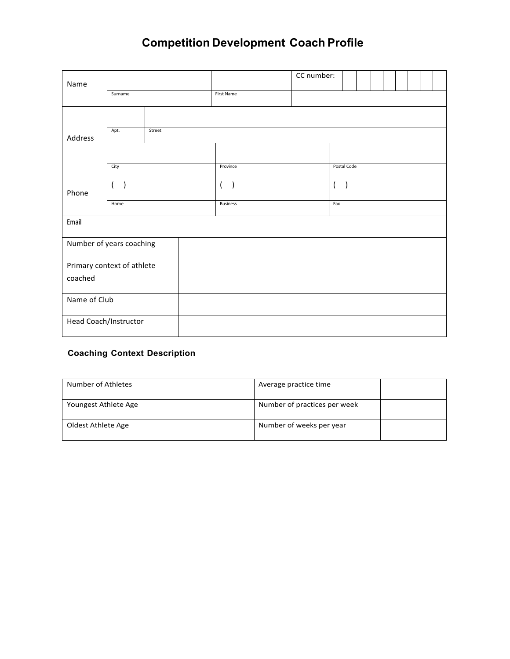# **Competition Development Coach Profile**

| Name                       |         |        |                       |  |                                      |  | CC number: |  |  |  |  |  |  |  |  |
|----------------------------|---------|--------|-----------------------|--|--------------------------------------|--|------------|--|--|--|--|--|--|--|--|
|                            | Surname |        | First Name            |  |                                      |  |            |  |  |  |  |  |  |  |  |
|                            |         |        |                       |  |                                      |  |            |  |  |  |  |  |  |  |  |
| Address                    | Apt.    | Street |                       |  |                                      |  |            |  |  |  |  |  |  |  |  |
|                            |         |        |                       |  |                                      |  |            |  |  |  |  |  |  |  |  |
|                            | City    |        | Province              |  | Postal Code                          |  |            |  |  |  |  |  |  |  |  |
| Phone                      | ( )     |        | $\left($<br>$\lambda$ |  | $\left($<br>$\overline{\phantom{a}}$ |  |            |  |  |  |  |  |  |  |  |
|                            | Home    |        | <b>Business</b>       |  | Fax                                  |  |            |  |  |  |  |  |  |  |  |
| Email                      |         |        |                       |  |                                      |  |            |  |  |  |  |  |  |  |  |
| Number of years coaching   |         |        |                       |  |                                      |  |            |  |  |  |  |  |  |  |  |
| Primary context of athlete |         |        |                       |  |                                      |  |            |  |  |  |  |  |  |  |  |
| coached                    |         |        |                       |  |                                      |  |            |  |  |  |  |  |  |  |  |
| Name of Club               |         |        |                       |  |                                      |  |            |  |  |  |  |  |  |  |  |
| Head Coach/Instructor      |         |        |                       |  |                                      |  |            |  |  |  |  |  |  |  |  |

### **Coaching Context Description**

| Number of Athletes   | Average practice time        |  |
|----------------------|------------------------------|--|
| Youngest Athlete Age | Number of practices per week |  |
| Oldest Athlete Age   | Number of weeks per year     |  |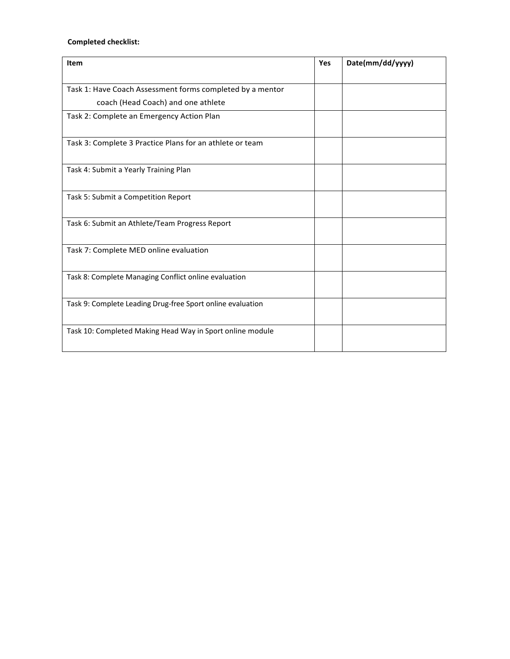### **Completed checklist:**

| Item                                                       | Yes | Date(mm/dd/yyyy) |
|------------------------------------------------------------|-----|------------------|
|                                                            |     |                  |
| Task 1: Have Coach Assessment forms completed by a mentor  |     |                  |
| coach (Head Coach) and one athlete                         |     |                  |
| Task 2: Complete an Emergency Action Plan                  |     |                  |
| Task 3: Complete 3 Practice Plans for an athlete or team   |     |                  |
| Task 4: Submit a Yearly Training Plan                      |     |                  |
| Task 5: Submit a Competition Report                        |     |                  |
| Task 6: Submit an Athlete/Team Progress Report             |     |                  |
| Task 7: Complete MED online evaluation                     |     |                  |
| Task 8: Complete Managing Conflict online evaluation       |     |                  |
| Task 9: Complete Leading Drug-free Sport online evaluation |     |                  |
| Task 10: Completed Making Head Way in Sport online module  |     |                  |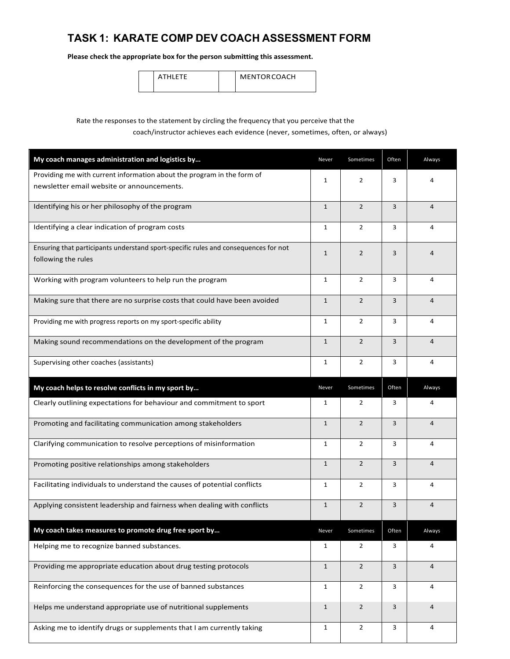# **TASK 1: KARATE COMP DEV COACH ASSESSMENT FORM**

**Please check the appropriate box for the person submitting this assessment.**

| ETE | <b>MENTOR COACH</b> |
|-----|---------------------|
|-----|---------------------|

### Rate the responses to the statement by circling the frequency that you perceive that the coach/instructor achieves each evidence (never, sometimes, often, or always)

| My coach manages administration and logistics by                                                                     | Never        | Sometimes      | Often | Always         |
|----------------------------------------------------------------------------------------------------------------------|--------------|----------------|-------|----------------|
| Providing me with current information about the program in the form of<br>newsletter email website or announcements. | $\mathbf{1}$ | $\overline{2}$ | 3     | 4              |
| Identifying his or her philosophy of the program                                                                     | $\mathbf{1}$ | $\overline{2}$ | 3     | $\overline{4}$ |
| Identifying a clear indication of program costs                                                                      | $\mathbf{1}$ | $\overline{2}$ | 3     | 4              |
| Ensuring that participants understand sport-specific rules and consequences for not<br>following the rules           | $\mathbf{1}$ | $\overline{2}$ | 3     | $\overline{4}$ |
| Working with program volunteers to help run the program                                                              | 1            | $\overline{2}$ | 3     | 4              |
| Making sure that there are no surprise costs that could have been avoided                                            | $\mathbf{1}$ | $\overline{2}$ | 3     | $\overline{4}$ |
| Providing me with progress reports on my sport-specific ability                                                      | $\mathbf{1}$ | $\overline{2}$ | 3     | 4              |
| Making sound recommendations on the development of the program                                                       | $\mathbf{1}$ | $\overline{2}$ | 3     | $\overline{4}$ |
| Supervising other coaches (assistants)                                                                               | 1            | $\overline{2}$ | 3     | 4              |
| My coach helps to resolve conflicts in my sport by                                                                   | Never        | Sometimes      | Often | Always         |
| Clearly outlining expectations for behaviour and commitment to sport                                                 | 1            | $\overline{2}$ | 3     | 4              |
| Promoting and facilitating communication among stakeholders                                                          | $\mathbf{1}$ | $\overline{2}$ | 3     | $\overline{4}$ |
| Clarifying communication to resolve perceptions of misinformation                                                    | $\mathbf{1}$ | $\overline{2}$ | 3     | 4              |
| Promoting positive relationships among stakeholders                                                                  | $\mathbf{1}$ | $\overline{2}$ | 3     | $\overline{4}$ |
| Facilitating individuals to understand the causes of potential conflicts                                             | 1            | $\overline{2}$ | 3     | 4              |
| Applying consistent leadership and fairness when dealing with conflicts                                              | $\mathbf{1}$ | $\overline{2}$ | 3     | $\overline{4}$ |
| My coach takes measures to promote drug free sport by                                                                | Never        | Sometimes      | Often | Always         |
| Helping me to recognize banned substances.                                                                           | 1            | $\overline{2}$ | 3     | 4              |
| Providing me appropriate education about drug testing protocols                                                      | $\mathbf{1}$ | $\overline{2}$ | 3     | $\overline{4}$ |
| Reinforcing the consequences for the use of banned substances                                                        | 1            | $\overline{2}$ | 3     | 4              |
| Helps me understand appropriate use of nutritional supplements                                                       | $\mathbf{1}$ | $\overline{2}$ | 3     | $\overline{4}$ |
| Asking me to identify drugs or supplements that I am currently taking                                                | $\mathbf{1}$ | $\overline{2}$ | 3     | 4              |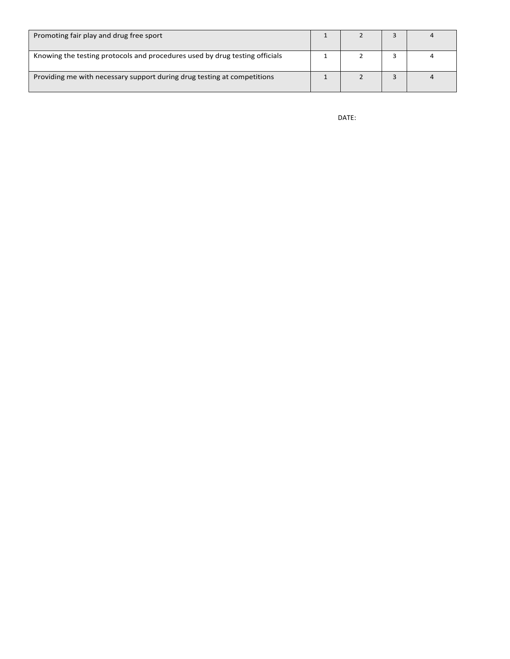| Promoting fair play and drug free sport                                     |  |  |
|-----------------------------------------------------------------------------|--|--|
| Knowing the testing protocols and procedures used by drug testing officials |  |  |
| Providing me with necessary support during drug testing at competitions     |  |  |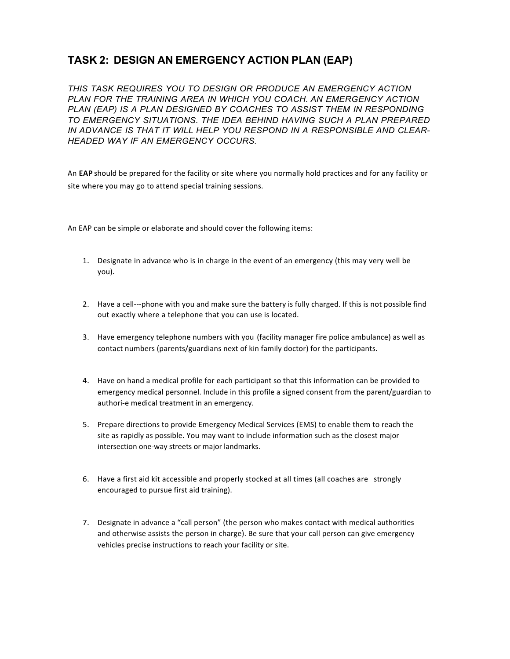# **TASK 2: DESIGN AN EMERGENCY ACTION PLAN (EAP)**

*THIS TASK REQUIRES YOU TO DESIGN OR PRODUCE AN EMERGENCY ACTION PLAN FOR THE TRAINING AREA IN WHICH YOU COACH. AN EMERGENCY ACTION PLAN (EAP) IS A PLAN DESIGNED BY COACHES TO ASSIST THEM IN RESPONDING TO EMERGENCY SITUATIONS. THE IDEA BEHIND HAVING SUCH A PLAN PREPARED IN ADVANCE IS THAT IT WILL HELP YOU RESPOND IN A RESPONSIBLE AND CLEAR-HEADED WAY IF AN EMERGENCY OCCURS.*

An EAP should be prepared for the facility or site where you normally hold practices and for any facility or site where you may go to attend special training sessions.

An EAP can be simple or elaborate and should cover the following items:

- 1. Designate in advance who is in charge in the event of an emergency (this may very well be you).
- 2. Have a cell---phone with you and make sure the battery is fully charged. If this is not possible find out exactly where a telephone that you can use is located.
- 3. Have emergency telephone numbers with you (facility manager fire police ambulance) as well as contact numbers (parents/guardians next of kin family doctor) for the participants.
- 4. Have on hand a medical profile for each participant so that this information can be provided to emergency medical personnel. Include in this profile a signed consent from the parent/guardian to authori-e medical treatment in an emergency.
- 5. Prepare directions to provide Emergency Medical Services (EMS) to enable them to reach the site as rapidly as possible. You may want to include information such as the closest major intersection one-way streets or major landmarks.
- 6. Have a first aid kit accessible and properly stocked at all times (all coaches are strongly encouraged to pursue first aid training).
- 7. Designate in advance a "call person" (the person who makes contact with medical authorities and otherwise assists the person in charge). Be sure that your call person can give emergency vehicles precise instructions to reach your facility or site.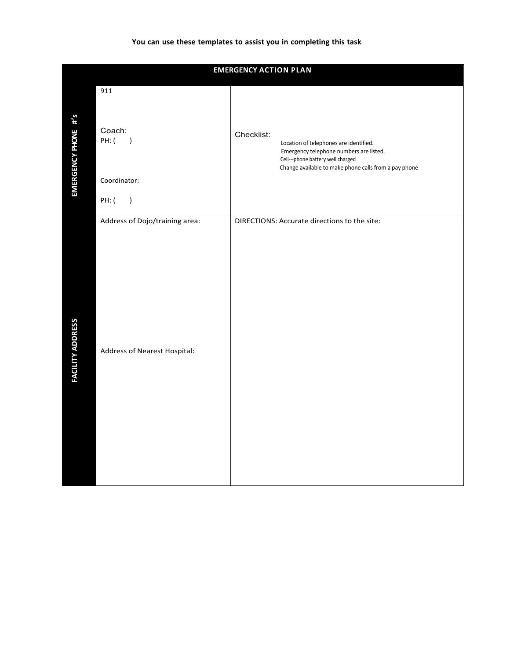### **You can use these templates to assist you in completing this task**

|                         |                                                    | <b>EMERGENCY ACTION PLAN</b>                                                                                                                                                                  |
|-------------------------|----------------------------------------------------|-----------------------------------------------------------------------------------------------------------------------------------------------------------------------------------------------|
| EMERGENCY PHONE #'s     | 911<br>Coach:<br>PH: (<br>$\overline{\phantom{a}}$ | Checklist:<br>Location of telephones are identified.<br>Emergency telephone numbers are listed.<br>Cell---phone battery well charged<br>Change available to make phone calls from a pay phone |
|                         | Coordinator:<br>PH: (<br>$\big)$                   |                                                                                                                                                                                               |
|                         | Address of Dojo/training area:                     | DIRECTIONS: Accurate directions to the site:                                                                                                                                                  |
| <b>FACILITY ADDRESS</b> | Address of Nearest Hospital:                       |                                                                                                                                                                                               |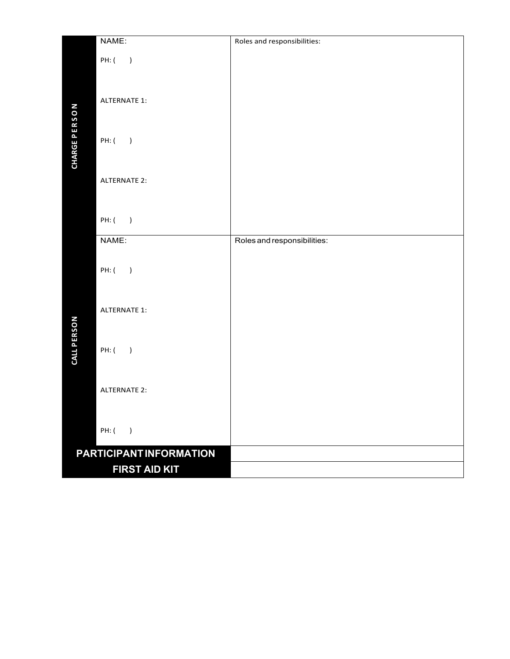|                      | NAME:                             | Roles and responsibilities: |
|----------------------|-----------------------------------|-----------------------------|
|                      | PH: (<br>$\overline{\phantom{a}}$ |                             |
|                      |                                   |                             |
|                      |                                   |                             |
|                      | <b>ALTERNATE 1:</b>               |                             |
|                      |                                   |                             |
| <b>CHARGE PERSON</b> |                                   |                             |
|                      | PH: ( )                           |                             |
|                      |                                   |                             |
|                      | <b>ALTERNATE 2:</b>               |                             |
|                      |                                   |                             |
|                      |                                   |                             |
|                      | PH: ( )                           |                             |
|                      | NAME:                             | Roles and responsibilities: |
|                      |                                   |                             |
|                      | PH: ( )                           |                             |
|                      |                                   |                             |
|                      |                                   |                             |
|                      | <b>ALTERNATE 1:</b>               |                             |
| CALL PERSON          |                                   |                             |
|                      | PH: ( )                           |                             |
|                      |                                   |                             |
|                      |                                   |                             |
|                      | <b>ALTERNATE 2:</b>               |                             |
|                      |                                   |                             |
|                      | PH: (<br>$\rightarrow$            |                             |
|                      |                                   |                             |
|                      | PARTICIPANT INFORMATION           |                             |
|                      | FIRST AID KIT                     |                             |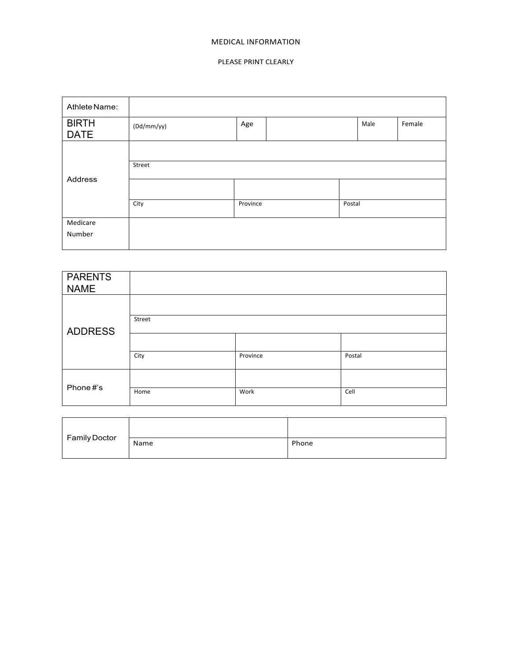#### **MEDICAL INFORMATION**

#### PLEASE PRINT CLEARLY

| Athlete Name:               |            |          |        |      |        |
|-----------------------------|------------|----------|--------|------|--------|
| <b>BIRTH</b><br><b>DATE</b> | (Dd/mm/yy) | Age      |        | Male | Female |
|                             |            |          |        |      |        |
|                             | Street     |          |        |      |        |
| Address                     |            |          |        |      |        |
|                             | City       | Province | Postal |      |        |
| Medicare                    |            |          |        |      |        |
| Number                      |            |          |        |      |        |

| <b>PARENTS</b><br><b>NAME</b> |        |          |        |
|-------------------------------|--------|----------|--------|
|                               |        |          |        |
| <b>ADDRESS</b>                | Street |          |        |
|                               |        |          |        |
|                               | City   | Province | Postal |
| Phone#'s                      |        |          |        |
|                               | Home   | Work     | Cell   |

| <b>Family Doctor</b> |      |       |
|----------------------|------|-------|
|                      | Name | Phone |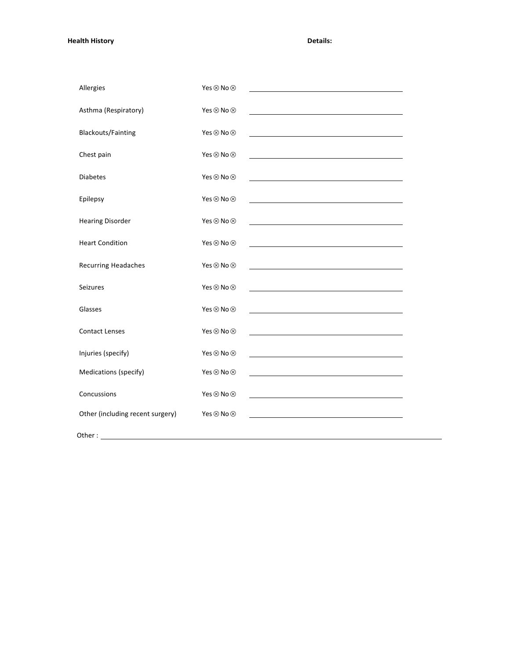**Health History Details:**

| Allergies                        | Yes ⊗ No ⊗                 |                                                                                                                     |
|----------------------------------|----------------------------|---------------------------------------------------------------------------------------------------------------------|
| Asthma (Respiratory)             | Yes ⊗ No ⊗                 |                                                                                                                     |
| <b>Blackouts/Fainting</b>        | Yes ⊗ No ⊗                 | <u> 1989 - Johann Barn, fransk politik (f. 1989)</u>                                                                |
| Chest pain                       | Yes ⊗ No ⊗                 |                                                                                                                     |
| <b>Diabetes</b>                  | Yes $\otimes$ No $\otimes$ | the contract of the contract of the contract of the contract of the contract of                                     |
| Epilepsy                         | Yes ⊗ No ⊗                 |                                                                                                                     |
| <b>Hearing Disorder</b>          | Yes ⊗ No ⊗                 |                                                                                                                     |
| <b>Heart Condition</b>           | Yes $\otimes$ No $\otimes$ |                                                                                                                     |
| Recurring Headaches              | Yes ⊗ No ⊗                 |                                                                                                                     |
| Seizures                         | Yes ⊗ No ⊗                 | <u> 1989 - Johann Stoff, fransk politik (d. 1989)</u>                                                               |
| Glasses                          | Yes $\otimes$ No $\otimes$ |                                                                                                                     |
| <b>Contact Lenses</b>            | Yes ⊗ No ⊗                 |                                                                                                                     |
| Injuries (specify)               | Yes ⊗ No ⊗                 | <u> 1989 - Johann Barbara, martin amerikan basar dan basa dan basa dan basa dan basa dan basa dan basa dan basa</u> |
| Medications (specify)            | Yes ⊗ No ⊗                 |                                                                                                                     |
| Concussions                      | Yes ⊗ No ⊗                 |                                                                                                                     |
| Other (including recent surgery) | Yes ⊗ No ⊗                 |                                                                                                                     |
|                                  |                            |                                                                                                                     |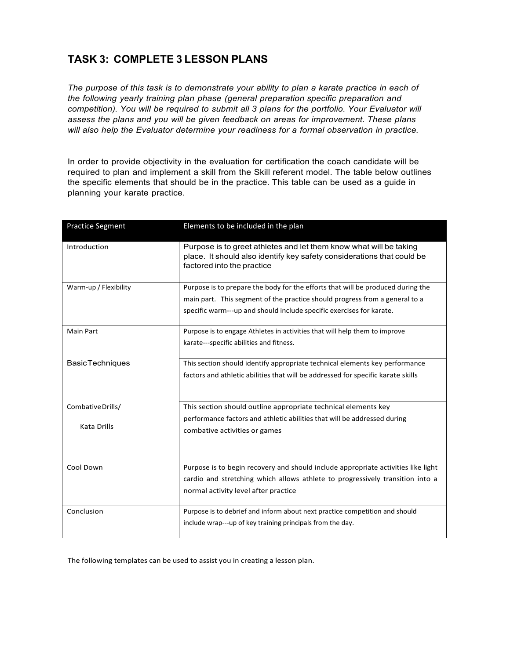# **TASK 3: COMPLETE 3 LESSON PLANS**

*The purpose of this task is to demonstrate your ability to plan a karate practice in each of the following yearly training plan phase (general preparation specific preparation and competition). You will be required to submit all 3 plans for the portfolio. Your Evaluator will assess the plans and you will be given feedback on areas for improvement. These plans will also help the Evaluator determine your readiness for a formal observation in practice.*

In order to provide objectivity in the evaluation for certification the coach candidate will be required to plan and implement a skill from the Skill referent model. The table below outlines the specific elements that should be in the practice. This table can be used as a guide in planning your karate practice.

| <b>Practice Segment</b>          | Elements to be included in the plan                                                                                                                                                                                                    |
|----------------------------------|----------------------------------------------------------------------------------------------------------------------------------------------------------------------------------------------------------------------------------------|
| Introduction                     | Purpose is to greet athletes and let them know what will be taking<br>place. It should also identify key safety considerations that could be<br>factored into the practice                                                             |
| Warm-up / Flexibility            | Purpose is to prepare the body for the efforts that will be produced during the<br>main part. This segment of the practice should progress from a general to a<br>specific warm---up and should include specific exercises for karate. |
| <b>Main Part</b>                 | Purpose is to engage Athletes in activities that will help them to improve<br>karate---specific abilities and fitness.                                                                                                                 |
| <b>BasicTechniques</b>           | This section should identify appropriate technical elements key performance<br>factors and athletic abilities that will be addressed for specific karate skills                                                                        |
| Combative Drills/<br>Kata Drills | This section should outline appropriate technical elements key<br>performance factors and athletic abilities that will be addressed during<br>combative activities or games                                                            |
| Cool Down                        | Purpose is to begin recovery and should include appropriate activities like light<br>cardio and stretching which allows athlete to progressively transition into a<br>normal activity level after practice                             |
| Conclusion                       | Purpose is to debrief and inform about next practice competition and should<br>include wrap---up of key training principals from the day.                                                                                              |

The following templates can be used to assist you in creating a lesson plan.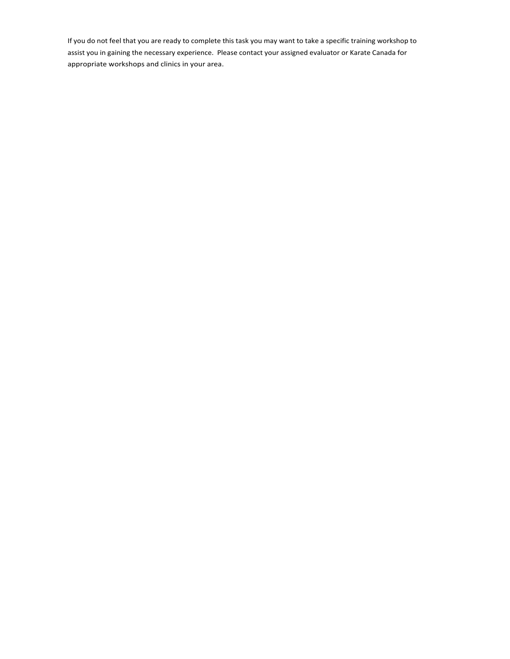If you do not feel that you are ready to complete this task you may want to take a specific training workshop to assist you in gaining the necessary experience. Please contact your assigned evaluator or Karate Canada for appropriate workshops and clinics in your area.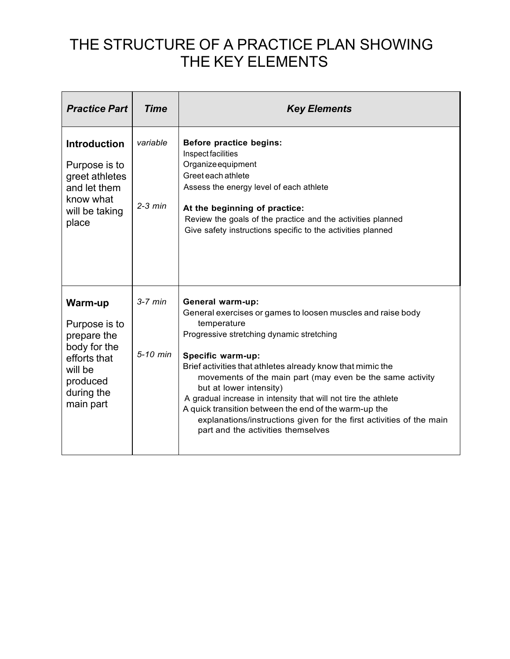# THE STRUCTURE OF A PRACTICE PLAN SHOWING THE KEY ELEMENTS

| <b>Practice Part</b>                                                                                                      | <b>Time</b>           | <b>Key Elements</b>                                                                                                                                                                                                                                                                                                                                                                                                                                                                                                                                             |
|---------------------------------------------------------------------------------------------------------------------------|-----------------------|-----------------------------------------------------------------------------------------------------------------------------------------------------------------------------------------------------------------------------------------------------------------------------------------------------------------------------------------------------------------------------------------------------------------------------------------------------------------------------------------------------------------------------------------------------------------|
| <b>Introduction</b><br>Purpose is to<br>greet athletes<br>and let them<br>know what<br>will be taking<br>place            | variable<br>$2-3$ min | Before practice begins:<br>Inspect facilities<br>Organize equipment<br>Greet each athlete<br>Assess the energy level of each athlete<br>At the beginning of practice:<br>Review the goals of the practice and the activities planned<br>Give safety instructions specific to the activities planned                                                                                                                                                                                                                                                             |
| Warm-up<br>Purpose is to<br>prepare the<br>body for the<br>efforts that<br>will be<br>produced<br>during the<br>main part | $3-7$ min<br>5-10 min | General warm-up:<br>General exercises or games to loosen muscles and raise body<br>temperature<br>Progressive stretching dynamic stretching<br>Specific warm-up:<br>Brief activities that athletes already know that mimic the<br>movements of the main part (may even be the same activity<br>but at lower intensity)<br>A gradual increase in intensity that will not tire the athlete<br>A quick transition between the end of the warm-up the<br>explanations/instructions given for the first activities of the main<br>part and the activities themselves |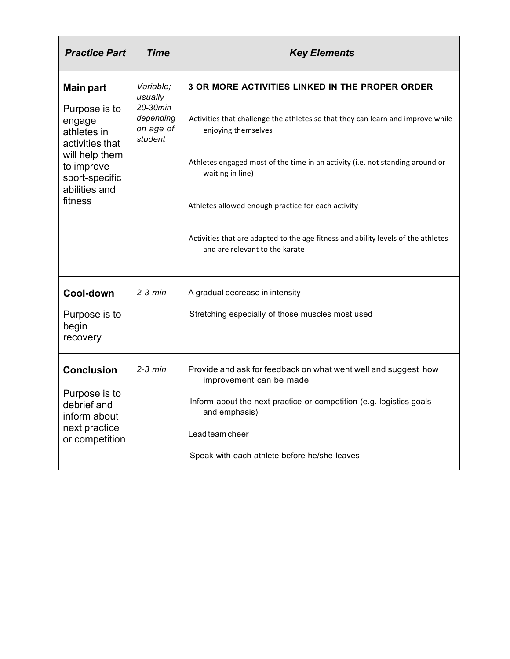| <b>Practice Part</b>                                                                                                                                        | <b>Time</b>                                                           | <b>Key Elements</b>                                                                                                                                                                                                                                                                                                                                                                                                                                |
|-------------------------------------------------------------------------------------------------------------------------------------------------------------|-----------------------------------------------------------------------|----------------------------------------------------------------------------------------------------------------------------------------------------------------------------------------------------------------------------------------------------------------------------------------------------------------------------------------------------------------------------------------------------------------------------------------------------|
| <b>Main part</b><br>Purpose is to<br>engage<br>athletes in<br>activities that<br>will help them<br>to improve<br>sport-specific<br>abilities and<br>fitness | Variable:<br>usually<br>20-30min<br>depending<br>on age of<br>student | <b>3 OR MORE ACTIVITIES LINKED IN THE PROPER ORDER</b><br>Activities that challenge the athletes so that they can learn and improve while<br>enjoying themselves<br>Athletes engaged most of the time in an activity (i.e. not standing around or<br>waiting in line)<br>Athletes allowed enough practice for each activity<br>Activities that are adapted to the age fitness and ability levels of the athletes<br>and are relevant to the karate |
| Cool-down<br>Purpose is to<br>begin<br>recovery                                                                                                             | $2-3$ min                                                             | A gradual decrease in intensity<br>Stretching especially of those muscles most used                                                                                                                                                                                                                                                                                                                                                                |
| <b>Conclusion</b><br>Purpose is to<br>debrief and<br>inform about<br>next practice<br>or competition                                                        | $2-3$ min                                                             | Provide and ask for feedback on what went well and suggest how<br>improvement can be made<br>Inform about the next practice or competition (e.g. logistics goals<br>and emphasis)<br>Lead team cheer<br>Speak with each athlete before he/she leaves                                                                                                                                                                                               |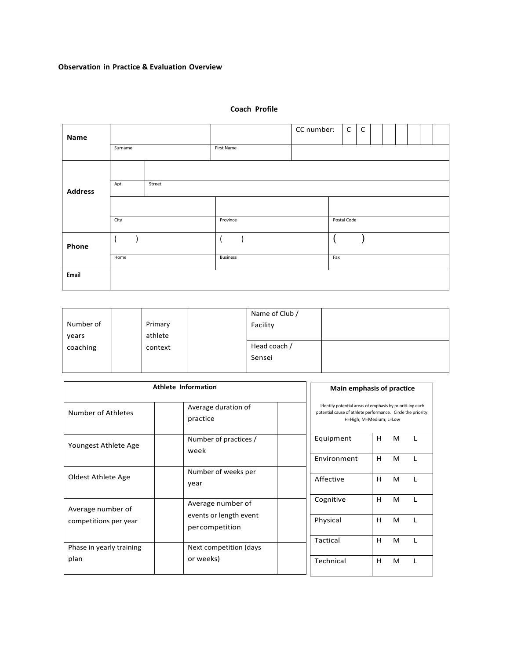### **Observation in Practice & Evaluation Overview**

|         |        |  |                 |            | CC number: | $\mathsf{C}$ | $\mathsf{C}$ |             |  |  |  |
|---------|--------|--|-----------------|------------|------------|--------------|--------------|-------------|--|--|--|
| Surname |        |  |                 |            |            |              |              |             |  |  |  |
|         |        |  |                 |            |            |              |              |             |  |  |  |
| Apt.    | Street |  |                 |            |            |              |              |             |  |  |  |
|         |        |  |                 |            |            |              |              |             |  |  |  |
| City    |        |  | Province        |            |            |              |              |             |  |  |  |
|         |        |  |                 |            |            |              |              |             |  |  |  |
| Home    |        |  | <b>Business</b> |            |            |              |              |             |  |  |  |
|         |        |  |                 |            |            |              |              |             |  |  |  |
|         |        |  |                 | First Name |            |              | Fax          | Postal Code |  |  |  |

### **Coach Profile**

|           |         | Name of Club / |  |
|-----------|---------|----------------|--|
| Number of | Primary | Facility       |  |
| years     | athlete |                |  |
| coaching  | context | Head coach /   |  |
|           |         | Sensei         |  |
|           |         |                |  |

|                                                       | Athlete Information                      |  | Main emphasis of practice                                                                                                                            |   |   |  |  |  |
|-------------------------------------------------------|------------------------------------------|--|------------------------------------------------------------------------------------------------------------------------------------------------------|---|---|--|--|--|
| Average duration of<br>Number of Athletes<br>practice |                                          |  | Identify potential areas of emphasis by prioriti-ing each<br>potential cause of athlete performance. Circle the priority:<br>H=High; M=Medium; L=Low |   |   |  |  |  |
| Youngest Athlete Age                                  | Number of practices /<br>week            |  | Equipment                                                                                                                                            | H | M |  |  |  |
|                                                       |                                          |  | Environment                                                                                                                                          | H | M |  |  |  |
| Oldest Athlete Age                                    | Number of weeks per<br>year              |  | Affective                                                                                                                                            | H | M |  |  |  |
| Average number of                                     | Average number of                        |  | Cognitive                                                                                                                                            | H | M |  |  |  |
| competitions per year                                 | events or length event<br>percompetition |  | Physical                                                                                                                                             | H | м |  |  |  |
| Phase in yearly training                              | Next competition (days                   |  | Tactical                                                                                                                                             | H | M |  |  |  |
| plan                                                  | or weeks)                                |  | Technical                                                                                                                                            | н | M |  |  |  |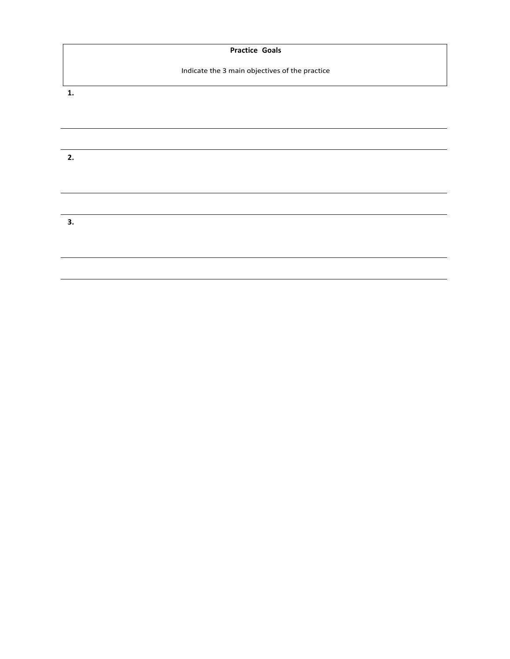|                | <b>Practice Goals</b>                          |
|----------------|------------------------------------------------|
|                | Indicate the 3 main objectives of the practice |
| $\mathbf{1}$ . |                                                |
|                |                                                |
|                |                                                |
| 2.             |                                                |
|                |                                                |
|                |                                                |
| 3.             |                                                |
|                |                                                |
|                |                                                |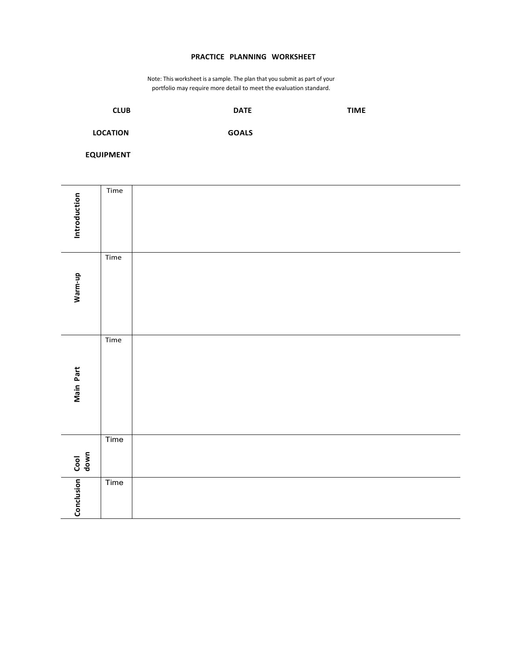### **PRACTICE PLANNING WORKSHEET**

Note: This worksheet is a sample. The plan that you submit as part of your portfolio may require more detail to meet the evaluation standard.

| <b>CLUB</b>     | <b>DATE</b>  | <b>TIME</b> |
|-----------------|--------------|-------------|
| <b>LOCATION</b> | <b>GOALS</b> |             |

**EQUIPMENT**

| Introduction | Time                                 |  |
|--------------|--------------------------------------|--|
| Warm-up      | $\ensuremath{\mathsf{T}}\xspace$ ime |  |
| Main Part    | Time                                 |  |
| Cool<br>down | Time                                 |  |
| Conclusion   | Time                                 |  |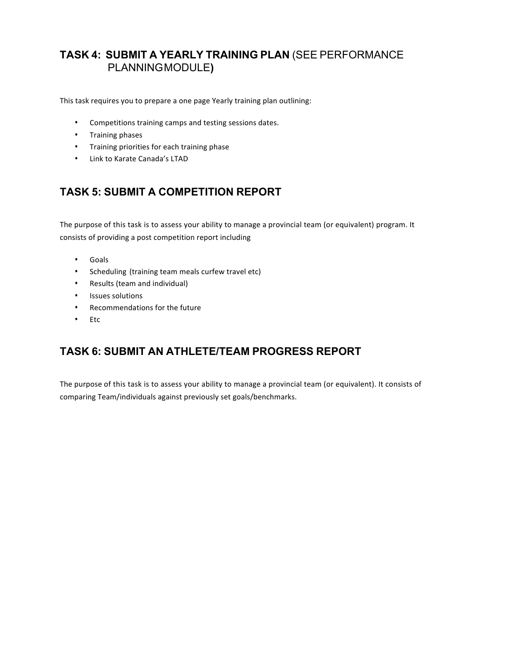## **TASK 4: SUBMIT A YEARLY TRAINING PLAN** (SEE PERFORMANCE PLANNINGMODULE**)**

This task requires you to prepare a one page Yearly training plan outlining:

- Competitions training camps and testing sessions dates.
- Training phases
- Training priorities for each training phase
- Link to Karate Canada's LTAD

# **TASK 5: SUBMIT A COMPETITION REPORT**

The purpose of this task is to assess your ability to manage a provincial team (or equivalent) program. It consists of providing a post competition report including

- Goals
- Scheduling (training team meals curfew travel etc)
- Results (team and individual)
- Issues solutions
- Recommendations for the future
- Etc

# **TASK 6: SUBMIT AN ATHLETE/TEAM PROGRESS REPORT**

The purpose of this task is to assess your ability to manage a provincial team (or equivalent). It consists of comparing Team/individuals against previously set goals/benchmarks.